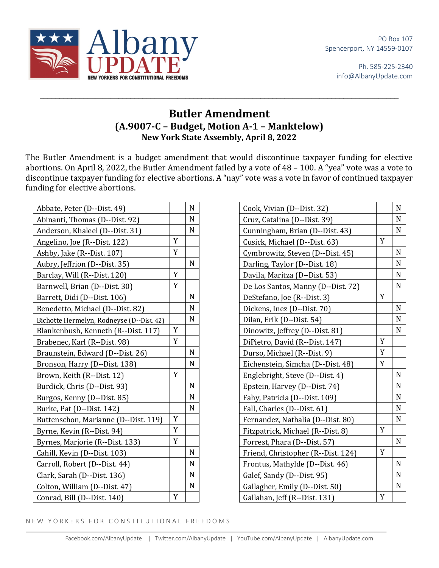

Ph. 585-225-2340 info@AlbanyUpdate.com

## **Butler Amendment (A.9007-C – Budget, Motion A-1 – Manktelow) New York State Assembly, April 8, 2022**

 $\_$ 

The Butler Amendment is a budget amendment that would discontinue taxpayer funding for elective abortions. On April 8, 2022, the Butler Amendment failed by a vote of  $48 - 100$ . A "yea" vote was a vote to discontinue taxpayer funding for elective abortions. A "nay" vote was a vote in favor of continued taxpayer funding for elective abortions.

| Abbate, Peter (D--Dist. 49)               |   | N         |
|-------------------------------------------|---|-----------|
| Abinanti, Thomas (D--Dist. 92)            |   | N         |
| Anderson, Khaleel (D--Dist. 31)           |   | N         |
| Angelino, Joe (R--Dist. 122)              | Y |           |
| Ashby, Jake (R--Dist. 107)                | Y |           |
| Aubry, Jeffrion (D--Dist. 35)             |   | N         |
| Barclay, Will (R--Dist. 120)              | Y |           |
| Barnwell, Brian (D--Dist. 30)             | Y |           |
| Barrett, Didi (D--Dist. 106)              |   | N         |
| Benedetto, Michael (D--Dist. 82)          |   | N         |
| Bichotte Hermelyn, Rodneyse (D--Dist. 42) |   | N         |
| Blankenbush, Kenneth (R--Dist. 117)       | Y |           |
| Brabenec, Karl (R--Dist. 98)              | Y |           |
| Braunstein, Edward (D--Dist. 26)          |   | N         |
| Bronson, Harry (D--Dist. 138)             |   | N         |
| Brown, Keith (R--Dist. 12)                | Y |           |
| Burdick, Chris (D--Dist. 93)              |   | N         |
| Burgos, Kenny (D--Dist. 85)               |   | N         |
| Burke, Pat (D--Dist. 142)                 |   | N         |
| Buttenschon, Marianne (D--Dist. 119)      | Y |           |
| Byrne, Kevin (R--Dist. 94)                | Y |           |
| Byrnes, Marjorie (R--Dist. 133)           | Y |           |
| Cahill, Kevin (D--Dist. 103)              |   | ${\bf N}$ |
| Carroll, Robert (D--Dist. 44)             |   | N         |
| Clark, Sarah (D--Dist. 136)               |   | N         |
| Colton, William (D--Dist. 47)             |   | N         |
| Conrad, Bill (D--Dist. 140)               | Y |           |

| Cook, Vivian (D--Dist. 32)         |             | N |
|------------------------------------|-------------|---|
| Cruz, Catalina (D--Dist. 39)       |             | N |
| Cunningham, Brian (D--Dist. 43)    |             | N |
| Cusick, Michael (D--Dist. 63)      | Y           |   |
| Cymbrowitz, Steven (D--Dist. 45)   |             | N |
| Darling, Taylor (D--Dist. 18)      |             | N |
| Davila, Maritza (D--Dist. 53)      |             | N |
| De Los Santos, Manny (D--Dist. 72) |             | N |
| DeStefano, Joe (R--Dist. 3)        | $\mathbf Y$ |   |
| Dickens, Inez (D--Dist. 70)        |             | N |
| Dilan, Erik (D--Dist. 54)          |             | N |
| Dinowitz, Jeffrey (D--Dist. 81)    |             | N |
| DiPietro, David (R--Dist. 147)     | Y           |   |
| Durso, Michael (R--Dist. 9)        | Y           |   |
| Eichenstein, Simcha (D--Dist. 48)  | Y           |   |
| Englebright, Steve (D--Dist. 4)    |             | N |
| Epstein, Harvey (D--Dist. 74)      |             | N |
| Fahy, Patricia (D--Dist. 109)      |             | N |
| Fall, Charles (D--Dist. 61)        |             | N |
| Fernandez, Nathalia (D--Dist. 80)  |             | N |
| Fitzpatrick, Michael (R--Dist. 8)  | Y           |   |
| Forrest, Phara (D--Dist. 57)       |             | N |
| Friend, Christopher (R--Dist. 124) | Y           |   |
| Frontus, Mathylde (D--Dist. 46)    |             | N |
| Galef, Sandy (D--Dist. 95)         |             | N |
| Gallagher, Emily (D--Dist. 50)     |             | N |
| Gallahan, Jeff (R--Dist. 131)      | Y           |   |

NEW YORKERS FOR CONSTITUTIONAL FREEDOMS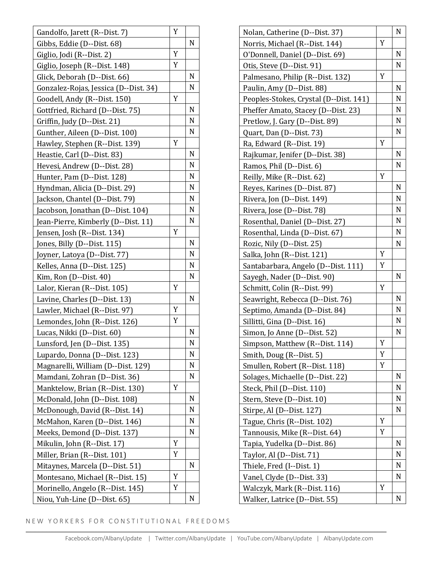|                                       | Y |   |
|---------------------------------------|---|---|
| Gandolfo, Jarett (R--Dist. 7)         |   | N |
| Gibbs, Eddie (D--Dist. 68)            | Y |   |
| Giglio, Jodi (R--Dist. 2)             | Y |   |
| Giglio, Joseph (R--Dist. 148)         |   |   |
| Glick, Deborah (D--Dist. 66)          |   | N |
| Gonzalez-Rojas, Jessica (D--Dist. 34) |   | N |
| Goodell, Andy (R--Dist. 150)          | Y |   |
| Gottfried, Richard (D--Dist. 75)      |   | N |
| Griffin, Judy (D--Dist. 21)           |   | N |
| Gunther, Aileen (D--Dist. 100)        |   | N |
| Hawley, Stephen (R--Dist. 139)        | Y |   |
| Heastie, Carl (D--Dist. 83)           |   | N |
| Hevesi, Andrew (D--Dist. 28)          |   | N |
| Hunter, Pam (D--Dist. 128)            |   | N |
| Hyndman, Alicia (D--Dist. 29)         |   | N |
| Jackson, Chantel (D--Dist. 79)        |   | N |
| Jacobson, Jonathan (D--Dist. 104)     |   | N |
| Jean-Pierre, Kimberly (D--Dist. 11)   |   | N |
| Jensen, Josh (R--Dist. 134)           | Y |   |
| Jones, Billy (D--Dist. 115)           |   | N |
| Joyner, Latoya (D--Dist. 77)          |   | N |
| Kelles, Anna (D--Dist. 125)           |   | N |
| Kim, Ron (D--Dist. 40)                |   | N |
| Lalor, Kieran (R--Dist. 105)          | Y |   |
| Lavine, Charles (D--Dist. 13)         |   | N |
| Lawler, Michael (R--Dist. 97)         | Y |   |
| Lemondes, John (R--Dist. 126)         | Y |   |
| Lucas, Nikki (D--Dist. 60)            |   | N |
| Lunsford, Jen (D--Dist. 135)          |   | N |
| Lupardo, Donna (D--Dist. 123)         |   | N |
| Magnarelli, William (D--Dist. 129)    |   | N |
| Mamdani, Zohran (D--Dist. 36)         |   | N |
| Manktelow, Brian (R--Dist. 130)       | Y |   |
| McDonald, John (D--Dist. 108)         |   | N |
| McDonough, David (R--Dist. 14)        |   | N |
| McMahon, Karen (D--Dist. 146)         |   | N |
| Meeks, Demond (D--Dist. 137)          |   | N |
| Mikulin, John (R--Dist. 17)           | Y |   |
| Miller, Brian (R--Dist. 101)          | Y |   |
| Mitaynes, Marcela (D--Dist. 51)       |   | N |
| Montesano, Michael (R--Dist. 15)      | Y |   |
| Morinello, Angelo (R--Dist. 145)      | Y |   |
|                                       |   | N |
| Niou, Yuh-Line (D--Dist. 65)          |   |   |

| Nolan, Catherine (D--Dist. 37)         |   | N |
|----------------------------------------|---|---|
| Norris, Michael (R--Dist. 144)         | Y |   |
| O'Donnell, Daniel (D--Dist. 69)        |   | N |
| Otis, Steve (D--Dist. 91)              |   | N |
| Palmesano, Philip (R--Dist. 132)       | Y |   |
| Paulin, Amy (D--Dist. 88)              |   | N |
| Peoples-Stokes, Crystal (D--Dist. 141) |   | N |
| Pheffer Amato, Stacey (D--Dist. 23)    |   | N |
| Pretlow, J. Gary (D--Dist. 89)         |   | N |
| Quart, Dan (D--Dist. 73)               |   | N |
| Ra, Edward (R--Dist. 19)               | Y |   |
| Rajkumar, Jenifer (D--Dist. 38)        |   | N |
| Ramos, Phil (D--Dist. 6)               |   | N |
| Reilly, Mike (R--Dist. 62)             | Y |   |
| Reyes, Karines (D--Dist. 87)           |   | N |
| Rivera, Jon (D--Dist. 149)             |   | N |
| Rivera, Jose (D--Dist. 78)             |   | N |
| Rosenthal, Daniel (D--Dist. 27)        |   | N |
| Rosenthal, Linda (D--Dist. 67)         |   | N |
| Rozic, Nily (D--Dist. 25)              |   | N |
| Salka, John (R--Dist. 121)             | Y |   |
| Santabarbara, Angelo (D--Dist. 111)    | Y |   |
| Sayegh, Nader (D--Dist. 90)            |   | N |
| Schmitt, Colin (R--Dist. 99)           | Y |   |
| Seawright, Rebecca (D--Dist. 76)       |   | N |
| Septimo, Amanda (D--Dist. 84)          |   | N |
| Sillitti, Gina (D--Dist. 16)           |   | N |
| Simon, Jo Anne (D--Dist. 52)           |   | N |
| Simpson, Matthew (R--Dist. 114)        | Y |   |
| Smith, Doug (R--Dist. 5)               | Y |   |
| Smullen, Robert (R--Dist. 118)         | Y |   |
| Solages, Michaelle (D--Dist. 22)       |   | N |
| Steck, Phil (D--Dist. 110)             |   | N |
| Stern, Steve (D--Dist. 10)             |   | N |
| Stirpe, Al (D--Dist. 127)              |   | N |
| Tague, Chris (R--Dist. 102)            | Y |   |
| Tannousis, Mike (R--Dist. 64)          | Y |   |
| Tapia, Yudelka (D--Dist. 86)           |   | N |
| Taylor, Al (D--Dist. 71)               |   | N |
| Thiele, Fred (I--Dist. 1)              |   | N |
| Vanel, Clyde (D--Dist. 33)             |   | N |
| Walczyk, Mark (R--Dist. 116)           | Y |   |
| Walker, Latrice (D--Dist. 55)          |   | N |

NEW YORKERS FOR CONSTITUTIONAL FREEDOMS